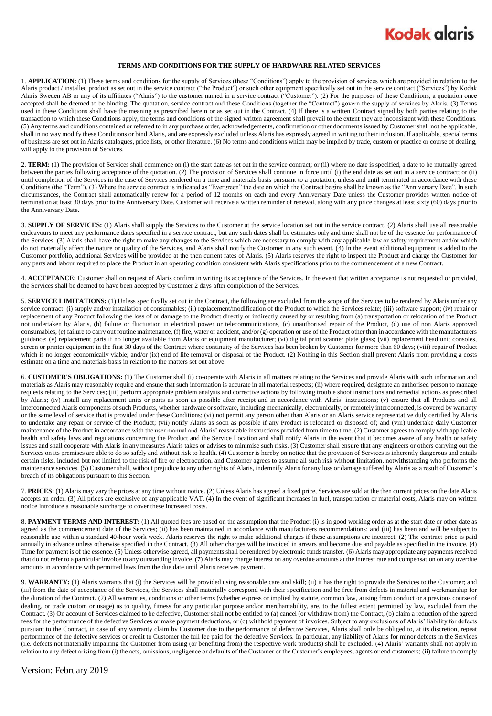## **Kodak alaris**

## **TERMS AND CONDITIONS FOR THE SUPPLY OF HARDWARE RELATED SERVICES**

1. **APPLICATION:** (1) These terms and conditions for the supply of Services (these "Conditions") apply to the provision of services which are provided in relation to the Alaris product / installed product as set out in the service contract ("the Product") or such other equipment specifically set out in the service contract ("Services") by Kodak Alaris Sweden AB or any of its affiliates ("Alaris") to the customer named in a service contract ("Customer"). (2) For the purposes of these Conditions, a quotation once accepted shall be deemed to be binding. The quotation, service contract and these Conditions (together the "Contract") govern the supply of services by Alaris. (3) Terms accepted shall be deemed to be binding. The quotatio used in these Conditions shall have the meaning as prescribed herein or as set out in the Contract. (4) If there is a written Contract signed by both parties relating to the transaction to which these Conditions apply, the terms and conditions of the signed written agreement shall prevail to the extent they are inconsistent with these Conditions. (5) Any terms and conditions contained or referred to in any purchase order, acknowledgements, confirmation or other documents issued by Customer shall not be applicable, shall in no way modify these Conditions or bind Alaris, and are expressly excluded unless Alaris has expressly agreed in writing to their inclusion. If applicable, special terms of business are set out in Alaris catalogues, price lists, or other literature. (6) No terms and conditions which may be implied by trade, custom or practice or course of dealing, will apply to the provision of Services.

2. TERM: (1) The provision of Services shall commence on (i) the start date as set out in the service contract; or (ii) where no date is specified, a date to be mutually agreed between the parties following acceptance of the quotation. (2) The provision of Services shall continue in force until (i) the end date as set out in a service contract; or (ii) until completion of the Services in the case of Services rendered on a time and materials basis pursuant to a quotation, unless and until terminated in accordance with these Conditions (the "Term"). (3) Where the service contract is indicated as "Evergreen" the date on which the Contract begins shall be known as the "Anniversary Date". In such circumstances, the Contract shall automatically renew for a period of 12 months on each and every Anniversary Date unless the Customer provides written notice of termination at least 30 days prior to the Anniversary Date. Customer will receive a written reminder of renewal, along with any price changes at least sixty (60) days prior to the Anniversary Date.

3. **SUPPLY OF SERVICES:** (1) Alaris shall supply the Services to the Customer at the service location set out in the service contract. (2) Alaris shall use all reasonable endeavours to meet any performance dates specified in a service contract, but any such dates shall be estimates only and time shall not be of the essence for performance of the Services. (3) Alaris shall have the right to make any changes to the Services which are necessary to comply with any applicable law or safety requirement and/or which do not materially affect the nature or quality of the Services, and Alaris shall notify the Customer in any such event. (4) In the event additional equipment is added to the Customer portfolio, additional Services will be provided at the then current rates of Alaris. (5) Alaris reserves the right to inspect the Product and charge the Customer for any parts and labour required to place the Product in an operating condition consistent with Alaris specifications prior to the commencement of a new Contract.

4. **ACCEPTANCE:** Customer shall on request of Alaris confirm in writing its acceptance of the Services. In the event that written acceptance is not requested or provided, the Services shall be deemed to have been accepted by Customer 2 days after completion of the Services.

5. **SERVICE LIMITATIONS:** (1) Unless specifically set out in the Contract, the following are excluded from the scope of the Services to be rendered by Alaris under any service contract: (i) supply and/or installation of consumables; (ii) replacement/modification of the Product to which the Services relate; (iii) software support; (iv) repair or replacement of any Product following the loss of or damage to the Product directly or indirectly caused by or resulting from (a) transportation or relocation of the Product not undertaken by Alaris, (b) failure or fluctuation in electrical power or telecommunications, (c) unauthorised repair of the Product, (d) use of non Alaris approved consumables, (e) failure to carry out routine maintenance, (f) fire, water or accident, and/or (g) operation or use of the Product other than in accordance with the manufacturers guidance; (v) replacement parts if no longer available from Alaris or equipment manufacturer; (vi) digital print scanner plate glass; (vii) replacement head unit consoles, screen or printer equipment in the first 30 days of the Contract where continuity of the Services has been broken by Customer for more than 60 days; (viii) repair of Product which is no longer economically viable; and/or (ix) end of life removal or disposal of the Product. (2) Nothing in this Section shall prevent Alaris from providing a costs estimate on a time and materials basis in relation to the matters set out above.

6. **CUSTOMER'S OBLIGATIONS:** (1) The Customer shall (i) co-operate with Alaris in all matters relating to the Services and provide Alaris with such information and materials as Alaris may reasonably require and ensure that such information is accurate in all material respects; (ii) where required, designate an authorised person to manage requests relating to the Services; (iii) perform appropriate problem analysis and corrective actions by following trouble shoot instructions and remedial actions as prescribed by Alaris; (iv) install any replacement units or parts as soon as possible after receipt and in accordance with Alaris' instructions; (v) ensure that all Products and all interconnected Alaris components of such Products, whether hardware or software, including mechanically, electronically, or remotely interconnected, is covered by warranty or the same level of service that is provided under these Conditions; (vi) not permit any person other than Alaris or an Alaris service representative duly certified by Alaris to undertake any repair or service of the Product; (vii) notify Alaris as soon as possible if any Product is relocated or disposed of; and (viii) undertake daily Customer maintenance of the Product in accordance with the user manual and Alaris' reasonable instructions provided from time to time. (2) Customer agrees to comply with applicable health and safety laws and regulations concerning the Product and the Service Location and shall notify Alaris in the event that it becomes aware of any health or safety issues and shall cooperate with Alaris in any measures Alaris takes or advises to minimise such risks. (3) Customer shall ensure that any engineers or others carrying out the Services on its premises are able to do so safely and without risk to health**.** (4) Customer is hereby on notice that the provision of Services is inherently dangerous and entails certain risks, included but not limited to the risk of fire or electrocution, and Customer agrees to assume all such risk without limitation, notwithstanding who performs the maintenance services. (5) Customer shall, without prejudice to any other rights of Alaris, indemnify Alaris for any loss or damage suffered by Alaris as a result of Customer's breach of its obligations pursuant to this Section.

7. **PRICES:** (1) Alaris may vary the prices at any time without notice. (2) Unless Alaris has agreed a fixed price, Services are sold at the then current prices on the date Alaris accepts an order. (3) All prices are exclusive of any applicable VAT. (4) In the event of significant increases in fuel, transportation or material costs, Alaris may on written notice introduce a reasonable surcharge to cover these increased costs.

8. **PAYMENT TERMS AND INTEREST:** (1) All quoted fees are based on the assumption that the Product (i) is in good working order as at the start date or other date as agreed as the commencement date of the Services; (ii) has been maintained in accordance with manufacturers recommendations; and (iii) has been and will be subject to reasonable use within a standard 40-hour work week. Alaris reserves the right to make additional charges if these assumptions are incorrect. (2) The contract price is paid annually in advance unless otherwise specified in the Contract. (3) All other charges will be invoiced in arrears and become due and payable as specified in the invoice. (4) Time for payment is of the essence. (5) Unless otherwise agreed, all payments shall be rendered by electronic funds transfer. (6) Alaris may appropriate any payments received that do not refer to a particular invoice to any outstanding invoice. (7) Alaris may charge interest on any overdue amounts at the interest rate and compensation on any overdue amounts in accordance with permitted laws from the due date until Alaris receives payment.

9. **WARRANTY:** (1) Alaris warrants that (i) the Services will be provided using reasonable care and skill; (ii) it has the right to provide the Services to the Customer; and (iii) from the date of acceptance of the Services, the Services shall materially correspond with their specification and be free from defects in material and workmanship for the duration of the Contract. (2) All warranties, conditions or other terms (whether express or implied by statute, common law, arising from conduct or a previous course of dealing, or trade custom or usage) as to quality, fitness for any particular purpose and/or merchantability, are, to the fullest extent permitted by law, excluded from the Contract. (3) On account of Services claimed to be defective, Customer shall not be entitled to (a) cancel (or withdraw from) the Contract, (b) claim a reduction of the agreed fees for the performance of the defective Services or make payment deductions, or (c) withhold payment of invoices. Subject to any exclusions of Alaris' liability for defects pursuant to the Contract, in case of any warranty claim by Customer due to the performance of defective Services, Alaris shall only be obliged to, at its discretion, repeat performance of the defective services or credit to Customer the full fee paid for the defective Services. In particular, any liability of Alaris for minor defects in the Services (i.e. defects not materially impairing the Customer from using (or benefiting from) the respective work products) shall be excluded. (4) Alaris' warranty shall not apply in relation to any defect arising from (i) the acts, omissions, negligence or defaults of the Customer or the Customer's employees, agents or end customers; (ii) failure to comply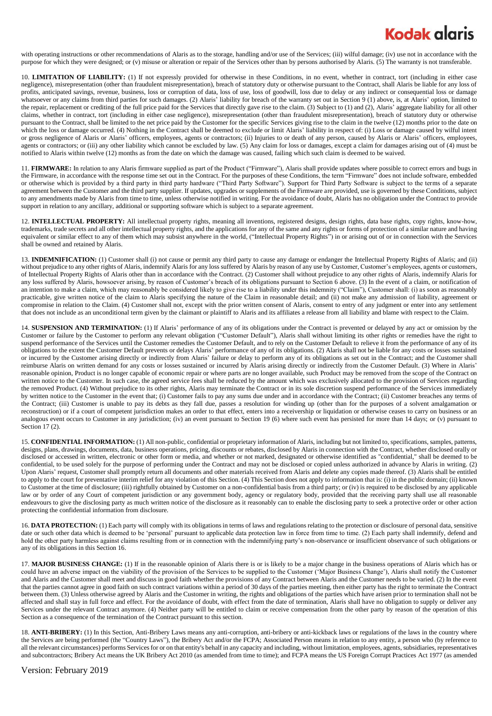## **Kodak alaris**

with operating instructions or other recommendations of Alaris as to the storage, handling and/or use of the Services; (iii) wilful damage; (iv) use not in accordance with the purpose for which they were designed; or (v) misuse or alteration or repair of the Services other than by persons authorised by Alaris. (5) The warranty is not transferable.

10. **LIMITATION OF LIABILITY:** (1) If not expressly provided for otherwise in these Conditions, in no event, whether in contract, tort (including in either case negligence), misrepresentation (other than fraudulent misrepresentation), breach of statutory duty or otherwise pursuant to the Contract, shall Alaris be liable for any loss of profits, anticipated savings, revenue, business, loss or corruption of data, loss of use, loss of goodwill, loss due to delay or any indirect or consequential loss or damage whatsoever or any claims from third parties for such damages. (2) Alaris' liability for breach of the warranty set out in Section 9 (1) above, is, at Alaris' option, limited to the repair, replacement or crediting of the full price paid for the Services that directly gave rise to the claim. (3) Subject to (1) and (2), Alaris' aggregate liability for all other claims, whether in contract, tort (including in either case negligence), misrepresentation (other than fraudulent misrepresentation), breach of statutory duty or otherwise pursuant to the Contract, shall be limited to the net price paid by the Customer for the specific Services giving rise to the claim in the twelve (12) months prior to the date on which the loss or damage occurred. (4) Nothing in the Contract shall be deemed to exclude or limit Alaris' liability in respect of: (i) Loss or damage caused by wilful intent or gross negligence of Alaris or Alaris' officers, employees, agents or contractors; (ii) Injuries to or death of any person, caused by Alaris or Alaris' officers, employees, agents or contractors; or (iii) any other liability which cannot be excluded by law. (5) Any claim for loss or damages, except a claim for damages arising out of (4) must be notified to Alaris within twelve (12) months as from the date on which the damage was caused, failing which such claim is deemed to be waived.

11. **FIRMWARE:** In relation to any Alaris firmware supplied as part of the Product ("Firmware"), Alaris shall provide updates where possible to correct errors and bugs in the Firmware, in accordance with the response time set out in the Contract. For the purposes of these Conditions, the term "Firmware" does not include software, embedded or otherwise which is provided by a third party in third party hardware ("Third Party Software"). Support for Third Party Software is subject to the terms of a separate agreement between the Customer and the third party supplier. If updates, upgrades or supplements of the Firmware are provided, use is governed by these Conditions, subject to any amendments made by Alaris from time to time, unless otherwise notified in writing. For the avoidance of doubt, Alaris has no obligation under the Contract to provide support in relation to any ancillary, additional or supporting software which is subject to a separate agreement.

12. **INTELLECTUAL PROPERTY:** All intellectual property rights, meaning all inventions, registered designs, design rights, data base rights, copy rights, know-how, trademarks, trade secrets and all other intellectual property rights, and the applications for any of the same and any rights or forms of protection of a similar nature and having equivalent or similar effect to any of them which may subsist anywhere in the world, ("Intellectual Property Rights") in or arising out of or in connection with the Services shall be owned and retained by Alaris.

13. **INDEMNIFICATION:** (1) Customer shall (i) not cause or permit any third party to cause any damage or endanger the Intellectual Property Rights of Alaris; and (ii) without prejudice to any other rights of Alaris, indemnify Alaris for any loss suffered by Alaris by reason of any use by Customer, Customer's employees, agents or customers, of Intellectual Property Rights of Alaris other than in accordance with the Contract. (2) Customer shall without prejudice to any other rights of Alaris, indemnify Alaris for any loss suffered by Alaris, howsoever arising, by reason of Customer's breach of its obligations pursuant to Section 6 above. (3) In the event of a claim, or notification of an intention to make a claim, which may reasonably be considered likely to give rise to a liability under this indemnity ("Claim"), Customer shall: (i) as soon as reasonably practicable, give written notice of the claim to Alaris specifying the nature of the Claim in reasonable detail; and (ii) not make any admission of liability, agreement or compromise in relation to the Claim. (4) Customer shall not, except with the prior written consent of Alaris, consent to entry of any judgment or enter into any settlement that does not include as an unconditional term given by the claimant or plaintiff to Alaris and its affiliates a release from all liability and blame with respect to the Claim.

14. **SUSPENSION AND TERMINATION:** (1) If Alaris' performance of any of its obligations under the Contract is prevented or delayed by any act or omission by the Customer or failure by the Customer to perform any relevant obligation ("Customer Default"), Alaris shall without limiting its other rights or remedies have the right to suspend performance of the Services until the Customer remedies the Customer Default, and to rely on the Customer Default to relieve it from the performance of any of its obligations to the extent the Customer Default prevents or delays Alaris' performance of any of its obligations. (2) Alaris shall not be liable for any costs or losses sustained or incurred by the Customer arising directly or indirectly from Alaris' failure or delay to perform any of its obligations as set out in the Contract; and the Customer shall reimburse Alaris on written demand for any costs or losses sustained or incurred by Alaris arising directly or indirectly from the Customer Default. (3) Where in Alaris' reasonable opinion, Product is no longer capable of economic repair or where parts are no longer available, such Product may be removed from the scope of the Contract on written notice to the Customer. In such case, the agreed service fees shall be reduced by the amount which was exclusively allocated to the provision of Services regarding the removed Product. (4) Without prejudice to its other rights, Alaris may terminate the Contract or in its sole discretion suspend performance of the Services immediately by written notice to the Customer in the event that; (i) Customer fails to pay any sums due under and in accordance with the Contract; (ii) Customer breaches any terms of the Contract; (iii) Customer is unable to pay its debts as they fall due, passes a resolution for winding up (other than for the purposes of a solvent amalgamation or reconstruction) or if a court of competent jurisdiction makes an order to that effect, enters into a receivership or liquidation or otherwise ceases to carry on business or an analogous event occurs to Customer in any jurisdiction; (iv) an event pursuant to Section 19 (6) where such event has persisted for more than 14 days; or (v) pursuant to Section 17 (2).

15. **CONFIDENTIAL INFORMATION:** (1) All non-public, confidential or proprietary information of Alaris, including but not limited to, specifications, samples, patterns, designs, plans, drawings, documents, data, business operations, pricing, discounts or rebates, disclosed by Alaris in connection with the Contract, whether disclosed orally or disclosed or accessed in written, electronic or other form or media, and whether or not marked, designated or otherwise identified as "confidential," shall be deemed to be confidential, to be used solely for the purpose of performing under the Contract and may not be disclosed or copied unless authorized in advance by Alaris in writing. (2) Upon Alaris' request, Customer shall promptly return all documents and other materials received from Alaris and delete any copies made thereof. (3) Alaris shall be entitled to apply to the court for preventative interim relief for any violation of this Section. (4) This Section does not apply to information that is: (i) in the public domain; (ii) known to Customer at the time of disclosure; (iii) rightfully obtained by Customer on a non-confidential basis from a third party; or (iv) is required to be disclosed by any applicable law or by order of any Court of competent jurisdiction or any government body, agency or regulatory body, provided that the receiving party shall use all reasonable endeavours to give the disclosing party as much written notice of the disclosure as it reasonably can to enable the disclosing party to seek a protective order or other action protecting the confidential information from disclosure.

16. **DATA PROTECTION:** (1) Each party will comply with its obligations in terms of laws and regulations relating to the protection or disclosure of personal data, sensitive date or such other data which is deemed to be 'personal' pursuant to applicable data protection law in force from time to time. (2) Each party shall indemnify, defend and hold the other party harmless against claims resulting from or in connection with the indemnifying party's non-observance or insufficient observance of such obligations or any of its obligations in this Section 16.

17. **MAJOR BUSINESS CHANGE:** (1) If in the reasonable opinion of Alaris there is or is likely to be a major change in the business operations of Alaris which has or could have an adverse impact on the viability of the provision of the Services to be supplied to the Customer ('Major Business Change'), Alaris shall notify the Customer and Alaris and the Customer shall meet and discuss in good faith whether the provisions of any Contract between Alaris and the Customer needs to be varied. (2) In the event that the parties cannot agree in good faith on such contract variations within a period of 30 days of the parties meeting, then either party has the right to terminate the Contract between them. (3) Unless otherwise agreed by Alaris and the Customer in writing, the rights and obligations of the parties which have arisen prior to termination shall not be affected and shall stay in full force and effect. For the avoidance of doubt, with effect from the date of termination, Alaris shall have no obligation to supply or deliver any Services under the relevant Contract anymore. (4) Neither party will be entitled to claim or receive compensation from the other party by reason of the operation of this Section as a consequence of the termination of the Contract pursuant to this section.

18. ANTI-BRIBERY: (1) In this Section, Anti-Bribery Laws means any anti-corruption, anti-bribery or anti-kickback laws or regulations of the laws in the country where the Services are being performed (the "Country Laws"), the Bribery Act and/or the FCPA; Associated Person means in relation to any entity, a person who (by reference to all the relevant circumstances) performs Services for or on that entity's behalf in any capacity and including, without limitation, employees, agents, subsidiaries, representatives and subcontractors; Bribery Act means the UK Bribery Act 2010 (as amended from time to time); and FCPA means the US Foreign Corrupt Practices Act 1977 (as amended